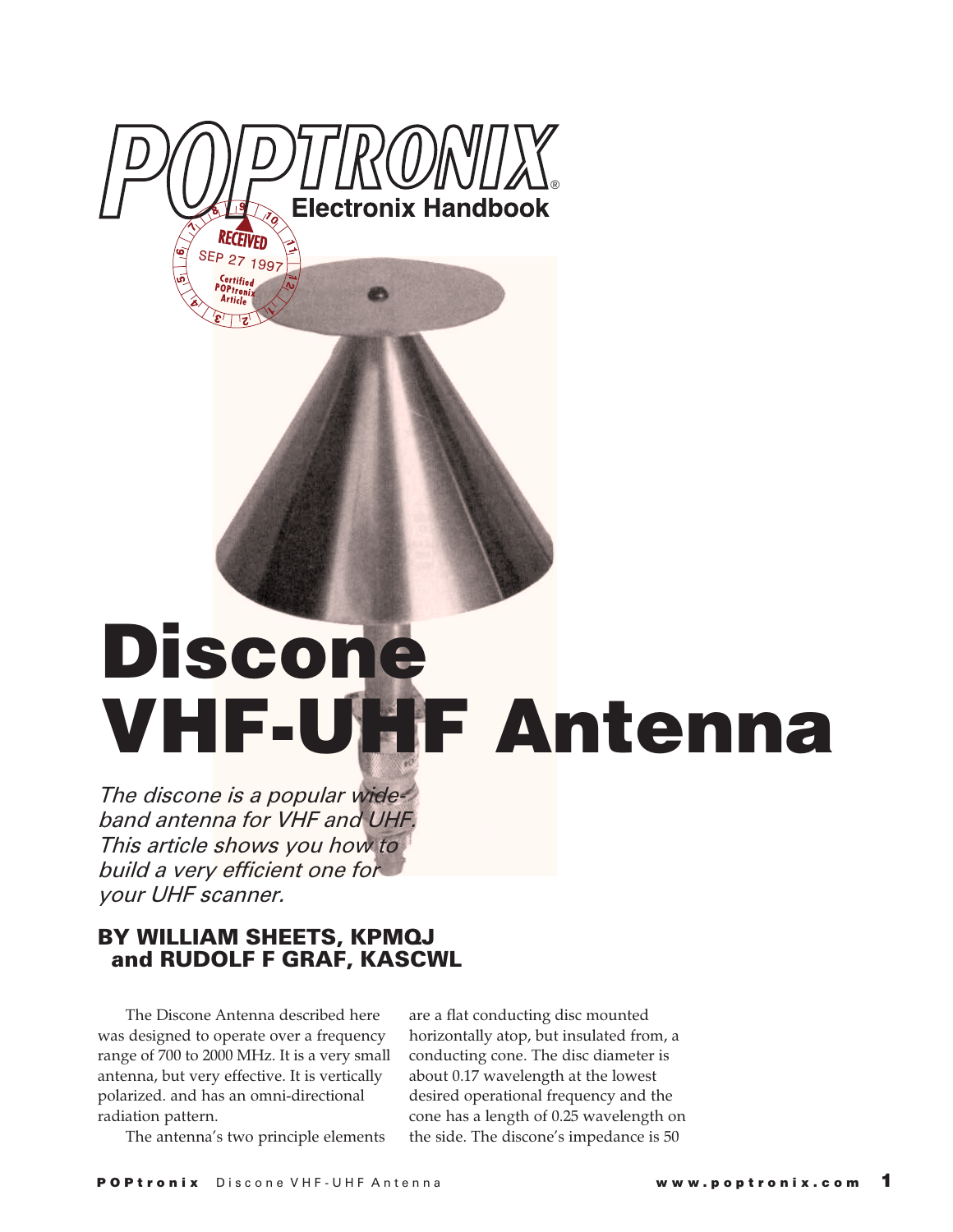

# **Discone VHF-UHF Antenna**

The discone is a popular wideband antenna for VHF and UHF. This article shows you how to build a very efficient one for your UHF scanner.

## **BY WILLIAM SHEETS, KPMQJ and RUDOLF F GRAF, KASCWL**

The Discone Antenna described here was designed to operate over a frequency range of 700 to 2000 MHz. It is a very small antenna, but very effective. It is vertically polarized. and has an omni-directional radiation pattern.

are a flat conducting disc mounted horizontally atop, but insulated from, a conducting cone. The disc diameter is about 0.17 wavelength at the lowest desired operational frequency and the cone has a length of 0.25 wavelength on the side. The discone's impedance is 50

The antenna's two principle elements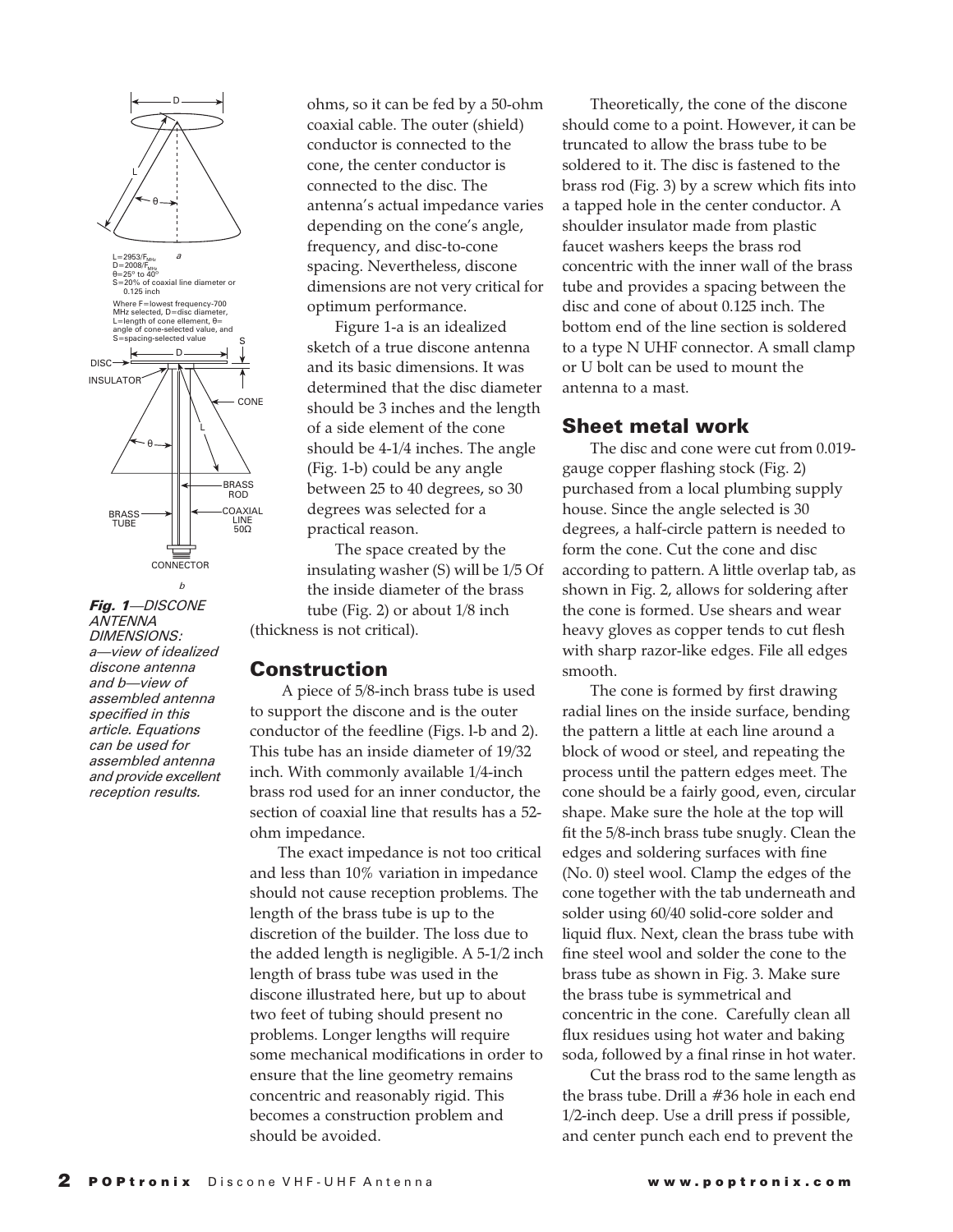

*Fig. 1*—DISCONE ANTENNA DIMENSIONS: a—view of idealized discone antenna and b—view of assembled antenna specified in this article. Equations can be used for assembled antenna and provide excellent reception results.

ohms, so it can be fed by a 50-ohm coaxial cable. The outer (shield) conductor is connected to the cone, the center conductor is connected to the disc. The antenna's actual impedance varies depending on the cone's angle, frequency, and disc-to-cone spacing. Nevertheless, discone dimensions are not very critical for optimum performance.

Figure 1-a is an idealized sketch of a true discone antenna and its basic dimensions. It was determined that the disc diameter should be 3 inches and the length of a side element of the cone should be 4-1/4 inches. The angle (Fig. 1-b) could be any angle between 25 to 40 degrees, so 30 degrees was selected for a practical reason.

The space created by the insulating washer (S) will be 1/5 Of the inside diameter of the brass tube (Fig. 2) or about 1/8 inch (thickness is not critical).

#### **Construction**

 A piece of 5/8-inch brass tube is used to support the discone and is the outer conductor of the feedline (Figs. l-b and 2). This tube has an inside diameter of 19/32 inch. With commonly available 1/4-inch brass rod used for an inner conductor, the section of coaxial line that results has a 52 ohm impedance.

The exact impedance is not too critical and less than 10% variation in impedance should not cause reception problems. The length of the brass tube is up to the discretion of the builder. The loss due to the added length is negligible. A 5-1/2 inch length of brass tube was used in the discone illustrated here, but up to about two feet of tubing should present no problems. Longer lengths will require some mechanical modifications in order to ensure that the line geometry remains concentric and reasonably rigid. This becomes a construction problem and should be avoided.

Theoretically, the cone of the discone should come to a point. However, it can be truncated to allow the brass tube to be soldered to it. The disc is fastened to the brass rod (Fig. 3) by a screw which fits into a tapped hole in the center conductor. A shoulder insulator made from plastic faucet washers keeps the brass rod concentric with the inner wall of the brass tube and provides a spacing between the disc and cone of about 0.125 inch. The bottom end of the line section is soldered to a type N UHF connector. A small clamp or U bolt can be used to mount the antenna to a mast.

#### **Sheet metal work**

The disc and cone were cut from 0.019 gauge copper flashing stock (Fig. 2) purchased from a local plumbing supply house. Since the angle selected is 30 degrees, a half-circle pattern is needed to form the cone. Cut the cone and disc according to pattern. A little overlap tab, as shown in Fig. 2, allows for soldering after the cone is formed. Use shears and wear heavy gloves as copper tends to cut flesh with sharp razor-like edges. File all edges smooth.

The cone is formed by first drawing radial lines on the inside surface, bending the pattern a little at each line around a block of wood or steel, and repeating the process until the pattern edges meet. The cone should be a fairly good, even, circular shape. Make sure the hole at the top will fit the 5/8-inch brass tube snugly. Clean the edges and soldering surfaces with fine (No. 0) steel wool. Clamp the edges of the cone together with the tab underneath and solder using 60/40 solid-core solder and liquid flux. Next, clean the brass tube with fine steel wool and solder the cone to the brass tube as shown in Fig. 3. Make sure the brass tube is symmetrical and concentric in the cone. Carefully clean all flux residues using hot water and baking soda, followed by a final rinse in hot water.

Cut the brass rod to the same length as the brass tube. Drill a #36 hole in each end 1/2-inch deep. Use a drill press if possible, and center punch each end to prevent the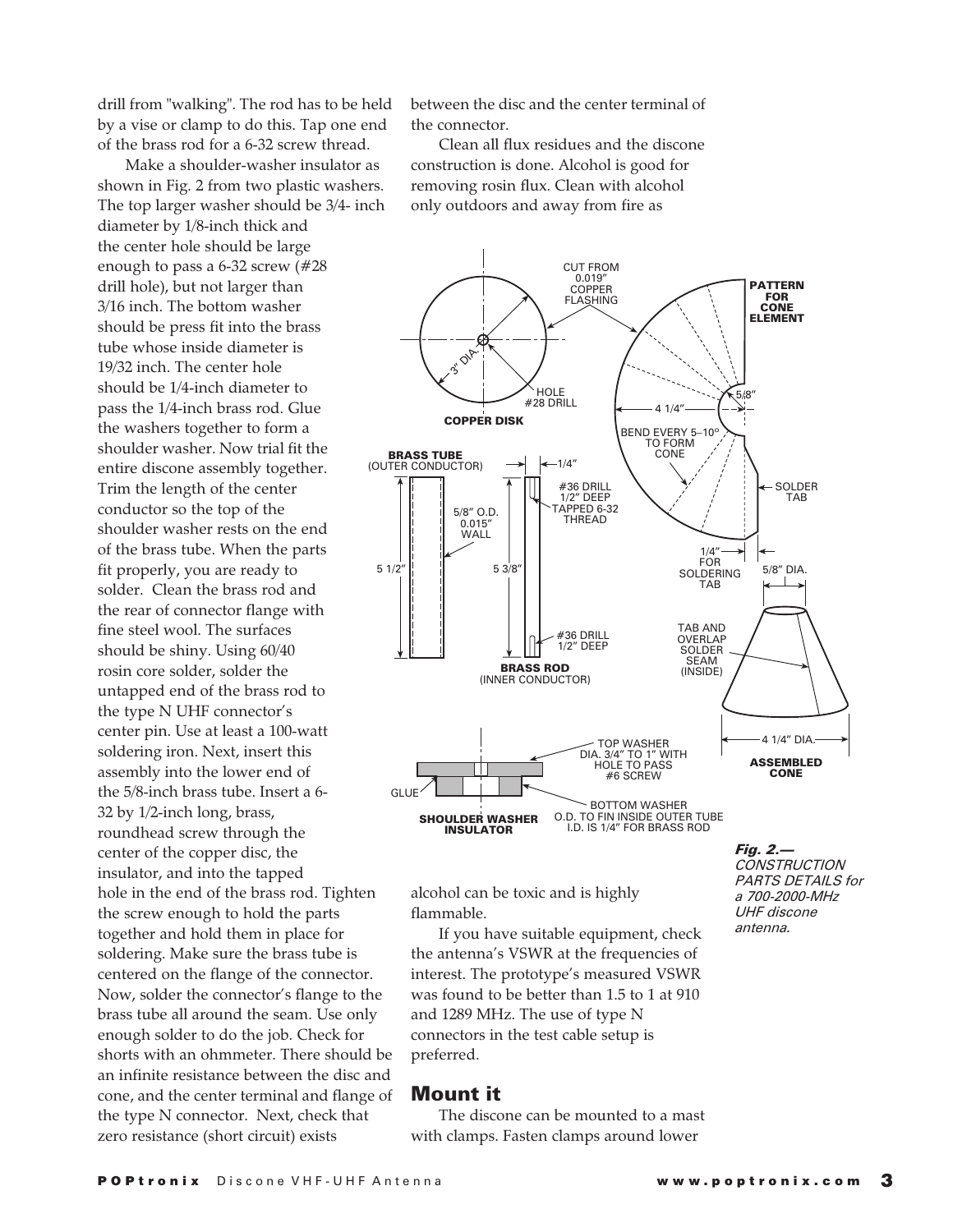drill from "walking". The rod has to be held by a vise or clamp to do this. Tap one end of the brass rod for a 6-32 screw thread.

Make a shoulder-washer insulator as shown in Fig. 2 from two plastic washers. The top larger washer should be 3/4- inch diameter by 1/8-inch thick and the center hole should be large enough to pass a 6-32 screw (#28 drill hole), but not larger than 3/16 inch. The bottom washer should be press fit into the brass tube whose inside diameter is 19/32 inch. The center hole should be 1/4-inch diameter to pass the 1/4-inch brass rod. Glue the washers together to form a shoulder washer. Now trial fit the entire discone assembly together. Trim the length of the center conductor so the top of the shoulder washer rests on the end of the brass tube. When the parts fit properly, you are ready to solder. Clean the brass rod and the rear of connector flange with fine steel wool. The surfaces should be shiny. Using 60/40 rosin core solder, solder the untapped end of the brass rod to the type N UHF connector's center pin. Use at least a 100-watt soldering iron. Next, insert this assembly into the lower end of the 5/8-inch brass tube. Insert a 6- 32 by 1/2-inch long, brass, roundhead screw through the center of the copper disc, the insulator, and into the tapped hole in the end of the brass rod. Tighten the screw enough to hold the parts together and hold them in place for soldering. Make sure the brass tube is centered on the flange of the connector. Now, solder the connector's flange to the brass tube all around the seam. Use only enough solder to do the job. Check for shorts with an ohmmeter. There should be an infinite resistance between the disc and cone, and the center terminal and flange of the type N connector. Next, check that zero resistance (short circuit) exists

between the disc and the center terminal of the connector.

Clean all flux residues and the discone construction is done. Alcohol is good for removing rosin flux. Clean with alcohol only outdoors and away from fire as



alcohol can be toxic and is highly flammable.

If you have suitable equipment, check the antenna's VSWR at the frequencies of interest. The prototype's measured VSWR was found to be better than 1.5 to 1 at 910 and 1289 MHz. The use of type N connectors in the test cable setup is preferred.

#### **Mount it**

The discone can be mounted to a mast with clamps. Fasten clamps around lower